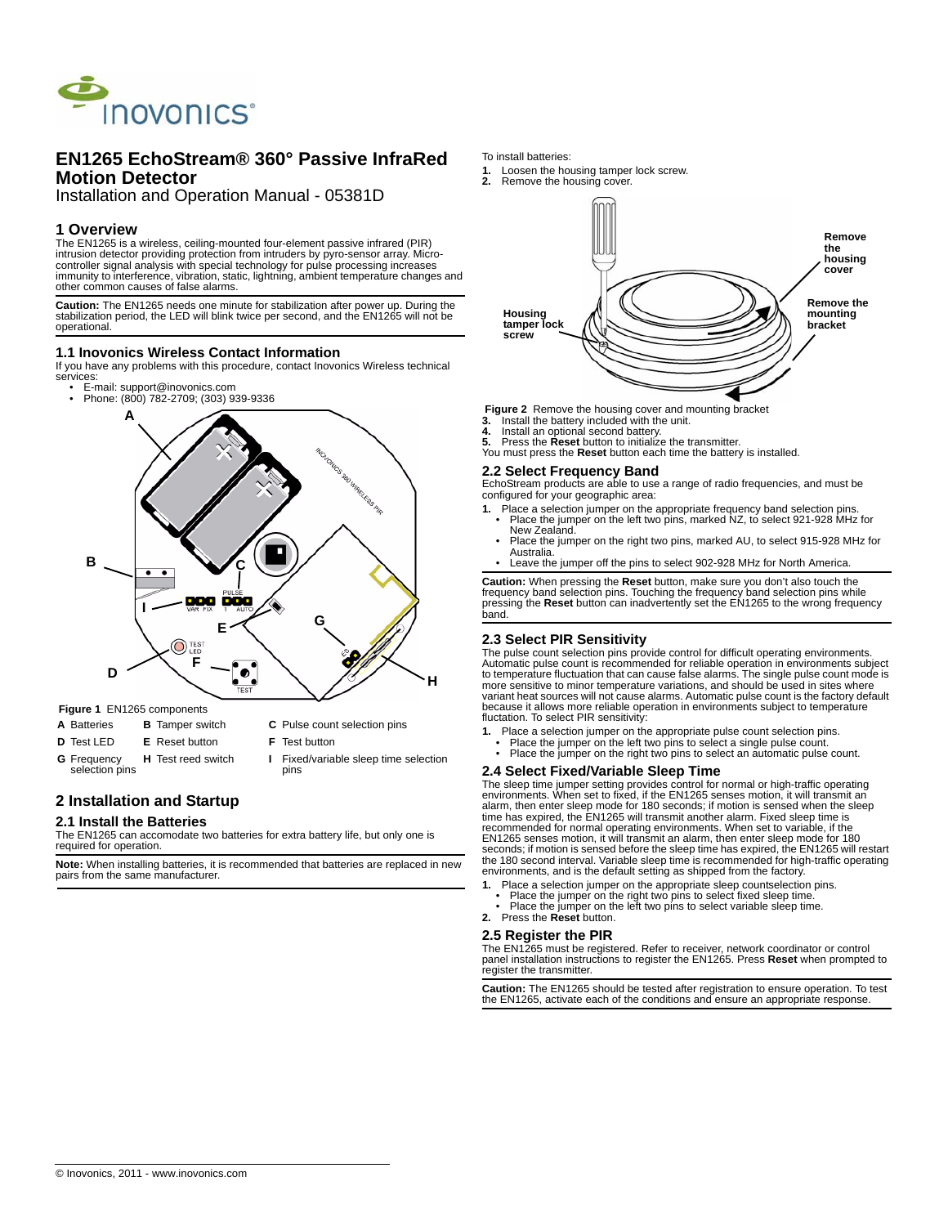

# **EN1265 EchoStream® 360° Passive InfraRed Motion Detector**

Installation and Operation Manual - 05381D

# **1 Overview**

The EN1265 is a wireless, ceiling-mounted four-element passive infrared (PIR)<br>intrusion detector providing protection from intruders by pyro-sensor array. Micro-<br>controller signal analysis with special technology for pulse immunity to interference, vibration, static, lightning, ambient temperature changes and other common causes of false alarms.

**Caution:** The EN1265 needs one minute for stabilization after power up. During the stabilization period, the LED will blink twice per second, and the EN1265 will not be operational.

## **1.1 Inovonics Wireless Contact Information**

If you have any problems with this procedure, contact Inovonics Wireless technical services:

• E-mail: support@inovonics.com • Phone: (800) 782-2709; (303) 939-9336



 **Figure 1** EN1265 components

- 
- **A** Batteries **B** Tamper switch **C** Pulse count selection pins
- **D** Test LED **E** Reset button **F** Test button
	-
- **G** Frequency selection pins
- 
- **H** Test reed switch **I** Fixed/variable sleep time selection pins

# **2 Installation and Startup**

### **2.1 Install the Batteries**

The EN1265 can accomodate two batteries for extra battery life, but only one is required for operation.

**Note:** When installing batteries, it is recommended that batteries are replaced in new pairs from the same manufacturer.

#### To install batteries:

- **1.** Loosen the housing tamper lock screw.
- **2.** Remove the housing cover.



 **Figure 2** Remove the housing cover and mounting bracket

- **3.** Install the battery included with the unit.<br>**4.** Install an optional second battery
- **4.** Install an optional second battery. **5.** Press the **Reset** button to initialize the transmitter.
- You must press the **Reset** button each time the battery is installed.

# **2.2 Select Frequency Band**

EchoStream products are able to use a range of radio frequencies, and must be configured for your geographic area:

- **1.** Place a selection jumper on the appropriate frequency band selection pins. Place the jumper on the left two pins, marked NZ, to select 921-928 MHz for New Zealand.
	- Place the jumper on the right two pins, marked AU, to select 915-928 MHz for Australia.
	- Leave the jumper off the pins to select 902-928 MHz for North America.

**Caution:** When pressing the **Reset** button, make sure you don't also touch the frequency band selection pins. Touching the frequency band selection pins while pressing the **Reset** button can inadvertently set the EN1265 to the wrong frequency band.

## **2.3 Select PIR Sensitivity**

The pulse count selection pins provide control for difficult operating environments. Automatic pulse count is recommended for reliable operation in environments subject to temperature fluctuation that can cause false alarms. The single pulse count mode is more sensitive to minor temperature variations, and should be used in sites where variant heat sources will not cause alarms. Automatic pulse count is the factory default because it allows more reliable operation in environments subject to temperature fluctation. To select PIR sensitivity:

- **1.** Place a selection jumper on the appropriate pulse count selection pins.
	- Place the jumper on the left two pins to select a single pulse count. Place the jumper on the right two pins to select an automatic pulse count.

# **2.4 Select Fixed/Variable Sleep Time**

The sleep time jumper setting provides control for normal or high-traffic operating environments. When set to fixed, if the EN1265 senses motion, it will transmit an alarm, then enter sleep mode for 180 seconds; if motion is sensed when the sleep time has expired, the EN1265 will transmit another alarm. Fixed sleep time is recommended for normal operating environments. When set to variable, if the EN1265 senses motion, it will transmit an alarm, then enter sleep mode for 180 seconds; if motion is sensed before the sleep time has expired, the EN1265 will restart the 180 second interval. Variable sleep time is recommended for high-traffic operating environments, and is the default setting as shipped from the factory.

- 
- **1.** Place a selection jumper on the appropriate sleep countselection pins.<br>• Place the jumper on the right two pins to select fixed sleep time.<br>• Place the jumper on the left two pins to select variable sleep time.
- **2.** Press the **Reset** button.

# **2.5 Register the PIR**

The EN1265 must be registered. Refer to receiver, network coordinator or control panel installation instructions to register the EN1265. Press **Reset** when prompted to register the transmitter.

**Caution:** The EN1265 should be tested after registration to ensure operation. To test the EN1265, activate each of the conditions and ensure an appropriate response.